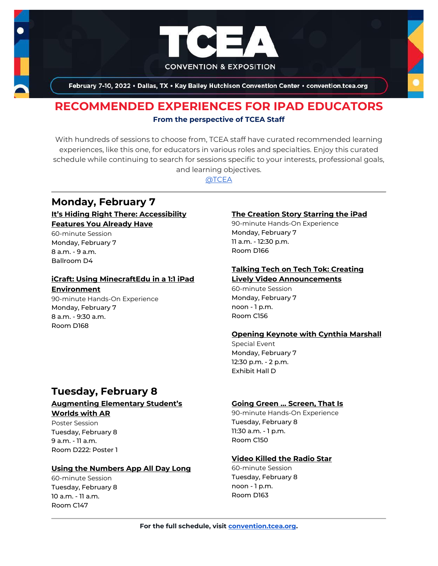

February 7-10, 2022 . Dallas, TX . Kay Bailey Hutchison Convention Center . convention.tcea.org

# **RECOMMENDED EXPERIENCES FOR IPAD EDUCATORS From the perspective of TCEA Staff**

With hundreds of sessions to choose from, TCEA staff have curated recommended learning experiences, like this one, for educators in various roles and specialties. Enjoy this curated schedule while continuing to search for sessions specific to your interests, professional goals, and learning objectives.

[@TCEA](https://twitter.com/TCEA)

# **Monday, February 7 [It's Hiding Right There: Accessibility](https://register.tcea.org/2022/session_list.cfm?session_key=BF194A7C-F04D-A206-2B64-190955E99665&session_date=Monday,%20Feb%2007,%202022)  [Features You Already Have](https://register.tcea.org/2022/session_list.cfm?session_key=BF194A7C-F04D-A206-2B64-190955E99665&session_date=Monday,%20Feb%2007,%202022)**

60-minute Session Monday, February 7 8 a.m. - 9 a.m. Ballroom D4

## **[iCraft: Using MinecraftEdu in a 1:1 iPad](https://register.tcea.org/2022/session_list.cfm?session_key=023A09A3-F04D-A206-2B64-D0DA05DABF58&session_date=Monday,%20Feb%2007,%202022)  [Environment](https://register.tcea.org/2022/session_list.cfm?session_key=023A09A3-F04D-A206-2B64-D0DA05DABF58&session_date=Monday,%20Feb%2007,%202022)**

90-minute Hands-On Experience Monday, February 7 8 a.m. - 9:30 a.m. Room D168

## **[The Creation Story Starring the iPad](https://register.tcea.org/2022/session_list.cfm?session_key=02427E55-F04D-A206-2B64-8F7CC91B6E59&session_date=Monday,%20Feb%2007,%202022)**

90-minute Hands-On Experience Monday, February 7 11 a.m. - 12:30 p.m. Room D166

### **[Talking Tech on Tech Tok: Creating](https://register.tcea.org/2022/session_list.cfm?session_key=0241CF6B-F04D-A206-2B64-0F72D59D9456&session_date=Monday,%20Feb%2007,%202022)  [Lively Video Announcements](https://register.tcea.org/2022/session_list.cfm?session_key=0241CF6B-F04D-A206-2B64-0F72D59D9456&session_date=Monday,%20Feb%2007,%202022)**

60-minute Session Monday, February 7 noon - 1 p.m. Room C156

### **[Opening Keynote with Cynthia Marshall](https://register.tcea.org/2022/session_list.cfm?session_key=5F0745B8-F04D-A206-2B64-0D4631096E34&session_date=Monday,%20Feb%2007,%202022)**

Special Event Monday, February 7 12:30 p.m. - 2 p.m. Exhibit Hall D

# **Tuesday, February 8**

### **[Augmenting Elementary Student's](https://register.tcea.org/2022/session_list.cfm?session_key=02316047-F04D-A206-2B64-BDE91B090D5D&session_date=Tuesday,%20Feb%2008,%202022)  [Worlds with AR](https://register.tcea.org/2022/session_list.cfm?session_key=02316047-F04D-A206-2B64-BDE91B090D5D&session_date=Tuesday,%20Feb%2008,%202022)**

Poster Session Tuesday, February 8 9 a.m. - 11 a.m. Room D222: Poster 1

### **[Using the Numbers App All Day Long](https://register.tcea.org/2022/session_list.cfm?session_key=02451D8C-F04D-A206-2B64-71A4E0BE92B3&session_date=Tuesday,%20Feb%2008,%202022)**

60-minute Session Tuesday, February 8 10 a.m. - 11 a.m. Room C147

#### **[Going Green … Screen, That Is](https://register.tcea.org/2022/session_list.cfm?session_key=0238E616-F04D-A206-2B64-F1108022A499&session_date=Tuesday,%20Feb%2008,%202022)**

90-minute Hands-On Experience Tuesday, February 8 11:30 a.m. - 1 p.m. Room C150

### **[Video Killed the Radio Star](https://register.tcea.org/2022/session_list.cfm?session_key=02452728-F04D-A206-2B64-EB93E570FC83&session_date=Tuesday,%20Feb%2008,%202022)**

60-minute Session Tuesday, February 8 noon - 1 p.m. Room D163